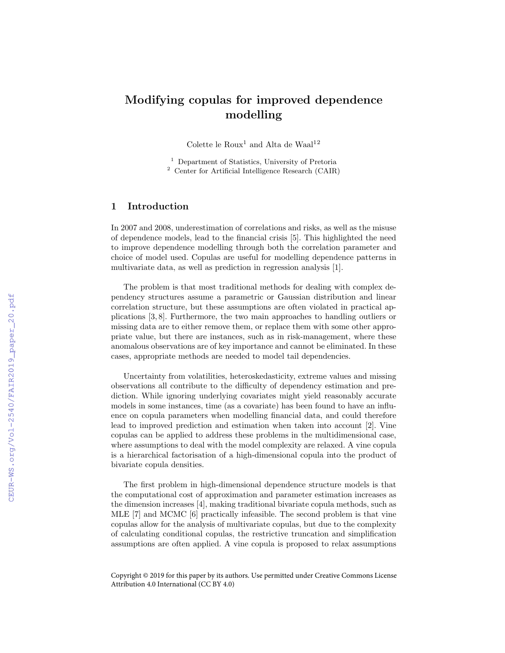## Modifying copulas for improved dependence modelling

Colette le  ${\rm Roux^1}$  and Alta de Waal $^{12}$ 

<sup>1</sup> Department of Statistics, University of Pretoria <sup>2</sup> Center for Artificial Intelligence Research (CAIR)

## 1 Introduction

In 2007 and 2008, underestimation of correlations and risks, as well as the misuse of dependence models, lead to the financial crisis [5]. This highlighted the need to improve dependence modelling through both the correlation parameter and choice of model used. Copulas are useful for modelling dependence patterns in multivariate data, as well as prediction in regression analysis [1].

The problem is that most traditional methods for dealing with complex dependency structures assume a parametric or Gaussian distribution and linear correlation structure, but these assumptions are often violated in practical applications [3, 8]. Furthermore, the two main approaches to handling outliers or missing data are to either remove them, or replace them with some other appropriate value, but there are instances, such as in risk-management, where these anomalous observations are of key importance and cannot be eliminated. In these cases, appropriate methods are needed to model tail dependencies.

Uncertainty from volatilities, heteroskedasticity, extreme values and missing observations all contribute to the difficulty of dependency estimation and prediction. While ignoring underlying covariates might yield reasonably accurate models in some instances, time (as a covariate) has been found to have an influence on copula parameters when modelling financial data, and could therefore lead to improved prediction and estimation when taken into account [2]. Vine copulas can be applied to address these problems in the multidimensional case, where assumptions to deal with the model complexity are relaxed. A vine copula is a hierarchical factorisation of a high-dimensional copula into the product of bivariate copula densities.

The first problem in high-dimensional dependence structure models is that the computational cost of approximation and parameter estimation increases as the dimension increases [4], making traditional bivariate copula methods, such as MLE [7] and MCMC [6] practically infeasible. The second problem is that vine copulas allow for the analysis of multivariate copulas, but due to the complexity of calculating conditional copulas, the restrictive truncation and simplification assumptions are often applied. A vine copula is proposed to relax assumptions

Copyright © 2019 for this paper by its authors. Use permitted under Creative Commons License Attribution 4.0 International (CC BY 4.0)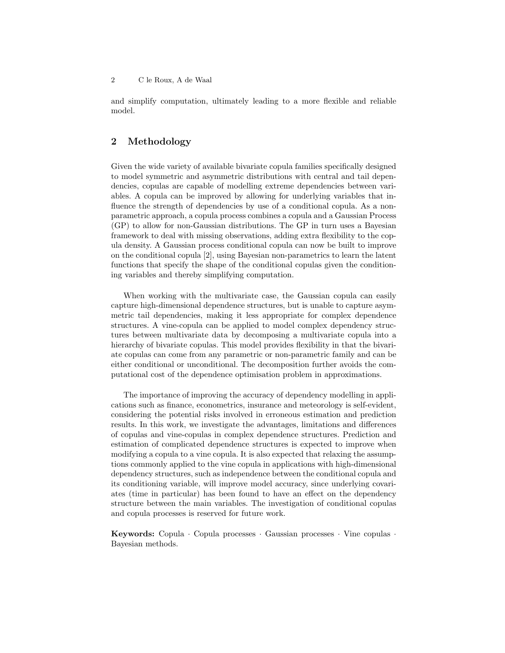and simplify computation, ultimately leading to a more flexible and reliable model.

## 2 Methodology

Given the wide variety of available bivariate copula families specifically designed to model symmetric and asymmetric distributions with central and tail dependencies, copulas are capable of modelling extreme dependencies between variables. A copula can be improved by allowing for underlying variables that influence the strength of dependencies by use of a conditional copula. As a nonparametric approach, a copula process combines a copula and a Gaussian Process (GP) to allow for non-Gaussian distributions. The GP in turn uses a Bayesian framework to deal with missing observations, adding extra flexibility to the copula density. A Gaussian process conditional copula can now be built to improve on the conditional copula [2], using Bayesian non-parametrics to learn the latent functions that specify the shape of the conditional copulas given the conditioning variables and thereby simplifying computation.

When working with the multivariate case, the Gaussian copula can easily capture high-dimensional dependence structures, but is unable to capture asymmetric tail dependencies, making it less appropriate for complex dependence structures. A vine-copula can be applied to model complex dependency structures between multivariate data by decomposing a multivariate copula into a hierarchy of bivariate copulas. This model provides flexibility in that the bivariate copulas can come from any parametric or non-parametric family and can be either conditional or unconditional. The decomposition further avoids the computational cost of the dependence optimisation problem in approximations.

The importance of improving the accuracy of dependency modelling in applications such as finance, econometrics, insurance and meteorology is self-evident, considering the potential risks involved in erroneous estimation and prediction results. In this work, we investigate the advantages, limitations and differences of copulas and vine-copulas in complex dependence structures. Prediction and estimation of complicated dependence structures is expected to improve when modifying a copula to a vine copula. It is also expected that relaxing the assumptions commonly applied to the vine copula in applications with high-dimensional dependency structures, such as independence between the conditional copula and its conditioning variable, will improve model accuracy, since underlying covariates (time in particular) has been found to have an effect on the dependency structure between the main variables. The investigation of conditional copulas and copula processes is reserved for future work.

Keywords: Copula · Copula processes · Gaussian processes · Vine copulas · Bayesian methods.